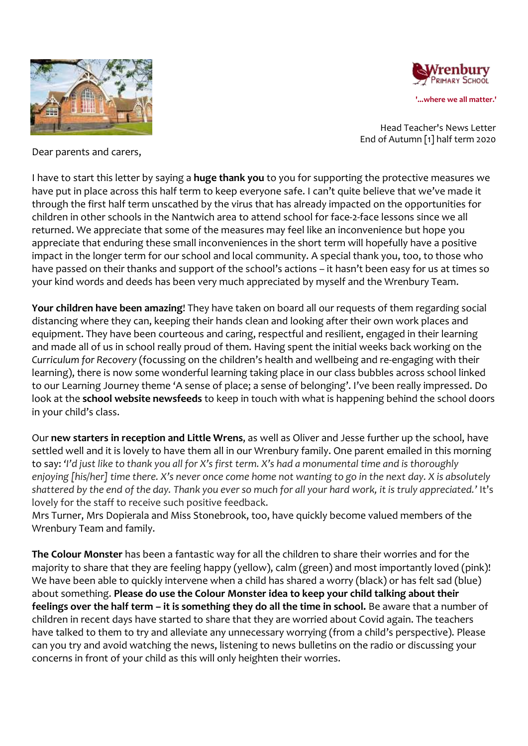



Head Teacher's News Letter End of Autumn [1] half term 2020

Dear parents and carers,

I have to start this letter by saying a **huge thank you** to you for supporting the protective measures we have put in place across this half term to keep everyone safe. I can't quite believe that we've made it through the first half term unscathed by the virus that has already impacted on the opportunities for children in other schools in the Nantwich area to attend school for face-2-face lessons since we all returned. We appreciate that some of the measures may feel like an inconvenience but hope you appreciate that enduring these small inconveniences in the short term will hopefully have a positive impact in the longer term for our school and local community. A special thank you, too, to those who have passed on their thanks and support of the school's actions – it hasn't been easy for us at times so your kind words and deeds has been very much appreciated by myself and the Wrenbury Team.

**Your children have been amazing**! They have taken on board all our requests of them regarding social distancing where they can, keeping their hands clean and looking after their own work places and equipment. They have been courteous and caring, respectful and resilient, engaged in their learning and made all of us in school really proud of them. Having spent the initial weeks back working on the *Curriculum for Recovery* (focussing on the children's health and wellbeing and re-engaging with their learning), there is now some wonderful learning taking place in our class bubbles across school linked to our Learning Journey theme 'A sense of place; a sense of belonging'. I've been really impressed. Do look at the **school website newsfeeds** to keep in touch with what is happening behind the school doors in your child's class.

Our **new starters in reception and Little Wrens**, as well as Oliver and Jesse further up the school, have settled well and it is lovely to have them all in our Wrenbury family. One parent emailed in this morning to say: *'I'd just like to thank you all for X's first term. X's had a monumental time and is thoroughly enjoying [his/her] time there. X's never once come home not wanting to go in the next day. X is absolutely shattered by the end of the day. Thank you ever so much for all your hard work, it is truly appreciated.'* It's lovely for the staff to receive such positive feedback.

Mrs Turner, Mrs Dopierala and Miss Stonebrook, too, have quickly become valued members of the Wrenbury Team and family.

**The Colour Monster** has been a fantastic way for all the children to share their worries and for the majority to share that they are feeling happy (yellow), calm (green) and most importantly loved (pink)! We have been able to quickly intervene when a child has shared a worry (black) or has felt sad (blue) about something. **Please do use the Colour Monster idea to keep your child talking about their feelings over the half term – it is something they do all the time in school.** Be aware that a number of children in recent days have started to share that they are worried about Covid again. The teachers have talked to them to try and alleviate any unnecessary worrying (from a child's perspective). Please can you try and avoid watching the news, listening to news bulletins on the radio or discussing your concerns in front of your child as this will only heighten their worries.